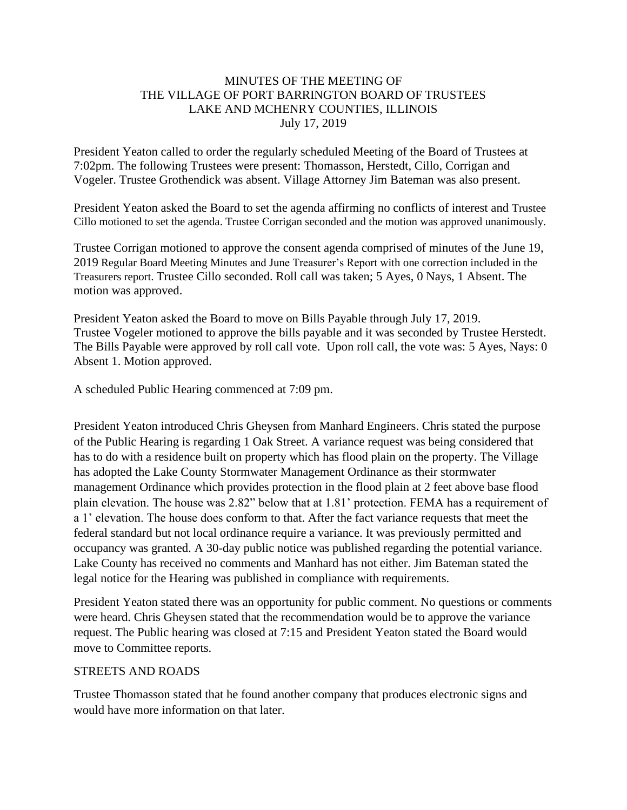## MINUTES OF THE MEETING OF THE VILLAGE OF PORT BARRINGTON BOARD OF TRUSTEES LAKE AND MCHENRY COUNTIES, ILLINOIS July 17, 2019

President Yeaton called to order the regularly scheduled Meeting of the Board of Trustees at 7:02pm. The following Trustees were present: Thomasson, Herstedt, Cillo, Corrigan and Vogeler. Trustee Grothendick was absent. Village Attorney Jim Bateman was also present.

President Yeaton asked the Board to set the agenda affirming no conflicts of interest and Trustee Cillo motioned to set the agenda. Trustee Corrigan seconded and the motion was approved unanimously.

Trustee Corrigan motioned to approve the consent agenda comprised of minutes of the June 19, 2019 Regular Board Meeting Minutes and June Treasurer's Report with one correction included in the Treasurers report. Trustee Cillo seconded. Roll call was taken; 5 Ayes, 0 Nays, 1 Absent. The motion was approved.

President Yeaton asked the Board to move on Bills Payable through July 17, 2019. Trustee Vogeler motioned to approve the bills payable and it was seconded by Trustee Herstedt. The Bills Payable were approved by roll call vote. Upon roll call, the vote was: 5 Ayes, Nays: 0 Absent 1. Motion approved.

A scheduled Public Hearing commenced at 7:09 pm.

President Yeaton introduced Chris Gheysen from Manhard Engineers. Chris stated the purpose of the Public Hearing is regarding 1 Oak Street. A variance request was being considered that has to do with a residence built on property which has flood plain on the property. The Village has adopted the Lake County Stormwater Management Ordinance as their stormwater management Ordinance which provides protection in the flood plain at 2 feet above base flood plain elevation. The house was 2.82" below that at 1.81' protection. FEMA has a requirement of a 1' elevation. The house does conform to that. After the fact variance requests that meet the federal standard but not local ordinance require a variance. It was previously permitted and occupancy was granted. A 30-day public notice was published regarding the potential variance. Lake County has received no comments and Manhard has not either. Jim Bateman stated the legal notice for the Hearing was published in compliance with requirements.

President Yeaton stated there was an opportunity for public comment. No questions or comments were heard. Chris Gheysen stated that the recommendation would be to approve the variance request. The Public hearing was closed at 7:15 and President Yeaton stated the Board would move to Committee reports.

### STREETS AND ROADS

Trustee Thomasson stated that he found another company that produces electronic signs and would have more information on that later.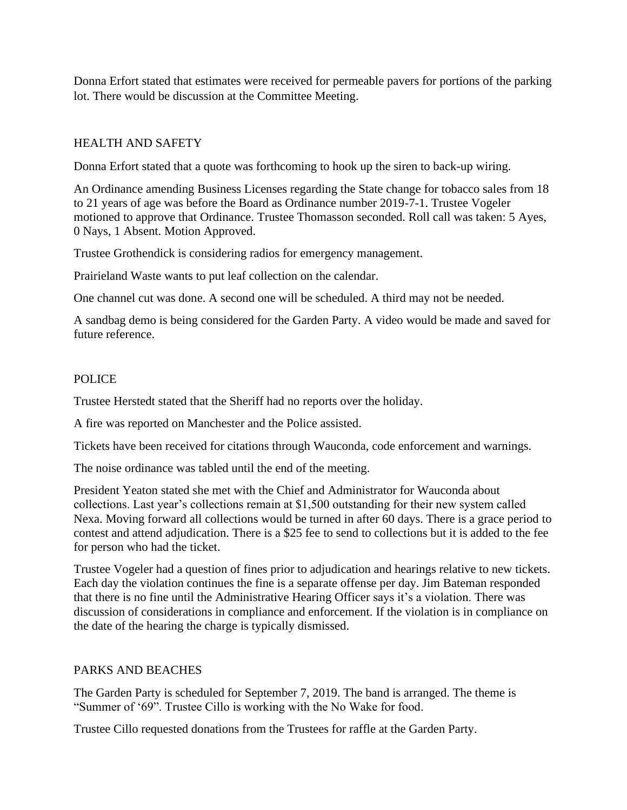Donna Erfort stated that estimates were received for permeable pavers for portions of the parking lot. There would be discussion at the Committee Meeting.

# HEALTH AND SAFETY

Donna Erfort stated that a quote was forthcoming to hook up the siren to back-up wiring.

An Ordinance amending Business Licenses regarding the State change for tobacco sales from 18 to 21 years of age was before the Board as Ordinance number 2019-7-1. Trustee Vogeler motioned to approve that Ordinance. Trustee Thomasson seconded. Roll call was taken: 5 Ayes, 0 Nays, 1 Absent. Motion Approved.

Trustee Grothendick is considering radios for emergency management.

Prairieland Waste wants to put leaf collection on the calendar.

One channel cut was done. A second one will be scheduled. A third may not be needed.

A sandbag demo is being considered for the Garden Party. A video would be made and saved for future reference.

## POLICE

Trustee Herstedt stated that the Sheriff had no reports over the holiday.

A fire was reported on Manchester and the Police assisted.

Tickets have been received for citations through Wauconda, code enforcement and warnings.

The noise ordinance was tabled until the end of the meeting.

President Yeaton stated she met with the Chief and Administrator for Wauconda about collections. Last year's collections remain at \$1,500 outstanding for their new system called Nexa. Moving forward all collections would be turned in after 60 days. There is a grace period to contest and attend adjudication. There is a \$25 fee to send to collections but it is added to the fee for person who had the ticket.

Trustee Vogeler had a question of fines prior to adjudication and hearings relative to new tickets. Each day the violation continues the fine is a separate offense per day. Jim Bateman responded that there is no fine until the Administrative Hearing Officer says it's a violation. There was discussion of considerations in compliance and enforcement. If the violation is in compliance on the date of the hearing the charge is typically dismissed.

# PARKS AND BEACHES

The Garden Party is scheduled for September 7, 2019. The band is arranged. The theme is "Summer of '69". Trustee Cillo is working with the No Wake for food.

Trustee Cillo requested donations from the Trustees for raffle at the Garden Party.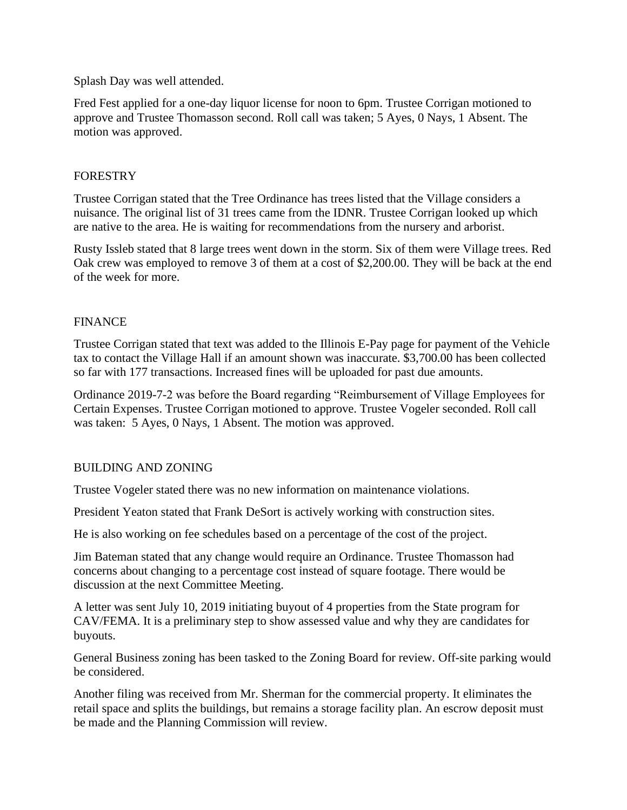Splash Day was well attended.

Fred Fest applied for a one-day liquor license for noon to 6pm. Trustee Corrigan motioned to approve and Trustee Thomasson second. Roll call was taken; 5 Ayes, 0 Nays, 1 Absent. The motion was approved.

### **FORESTRY**

Trustee Corrigan stated that the Tree Ordinance has trees listed that the Village considers a nuisance. The original list of 31 trees came from the IDNR. Trustee Corrigan looked up which are native to the area. He is waiting for recommendations from the nursery and arborist.

Rusty Issleb stated that 8 large trees went down in the storm. Six of them were Village trees. Red Oak crew was employed to remove 3 of them at a cost of \$2,200.00. They will be back at the end of the week for more.

# FINANCE

Trustee Corrigan stated that text was added to the Illinois E-Pay page for payment of the Vehicle tax to contact the Village Hall if an amount shown was inaccurate. \$3,700.00 has been collected so far with 177 transactions. Increased fines will be uploaded for past due amounts.

Ordinance 2019-7-2 was before the Board regarding "Reimbursement of Village Employees for Certain Expenses. Trustee Corrigan motioned to approve. Trustee Vogeler seconded. Roll call was taken: 5 Ayes, 0 Nays, 1 Absent. The motion was approved.

# BUILDING AND ZONING

Trustee Vogeler stated there was no new information on maintenance violations.

President Yeaton stated that Frank DeSort is actively working with construction sites.

He is also working on fee schedules based on a percentage of the cost of the project.

Jim Bateman stated that any change would require an Ordinance. Trustee Thomasson had concerns about changing to a percentage cost instead of square footage. There would be discussion at the next Committee Meeting.

A letter was sent July 10, 2019 initiating buyout of 4 properties from the State program for CAV/FEMA. It is a preliminary step to show assessed value and why they are candidates for buyouts.

General Business zoning has been tasked to the Zoning Board for review. Off-site parking would be considered.

Another filing was received from Mr. Sherman for the commercial property. It eliminates the retail space and splits the buildings, but remains a storage facility plan. An escrow deposit must be made and the Planning Commission will review.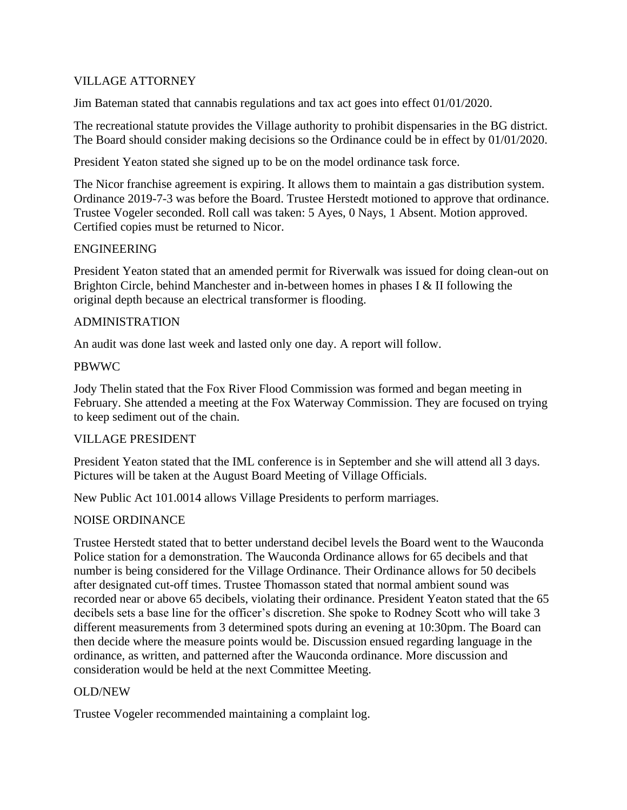## VILLAGE ATTORNEY

Jim Bateman stated that cannabis regulations and tax act goes into effect 01/01/2020.

The recreational statute provides the Village authority to prohibit dispensaries in the BG district. The Board should consider making decisions so the Ordinance could be in effect by 01/01/2020.

President Yeaton stated she signed up to be on the model ordinance task force.

The Nicor franchise agreement is expiring. It allows them to maintain a gas distribution system. Ordinance 2019-7-3 was before the Board. Trustee Herstedt motioned to approve that ordinance. Trustee Vogeler seconded. Roll call was taken: 5 Ayes, 0 Nays, 1 Absent. Motion approved. Certified copies must be returned to Nicor.

### ENGINEERING

President Yeaton stated that an amended permit for Riverwalk was issued for doing clean-out on Brighton Circle, behind Manchester and in-between homes in phases I & II following the original depth because an electrical transformer is flooding.

## ADMINISTRATION

An audit was done last week and lasted only one day. A report will follow.

## PBWWC

Jody Thelin stated that the Fox River Flood Commission was formed and began meeting in February. She attended a meeting at the Fox Waterway Commission. They are focused on trying to keep sediment out of the chain.

### VILLAGE PRESIDENT

President Yeaton stated that the IML conference is in September and she will attend all 3 days. Pictures will be taken at the August Board Meeting of Village Officials.

New Public Act 101.0014 allows Village Presidents to perform marriages.

# NOISE ORDINANCE

Trustee Herstedt stated that to better understand decibel levels the Board went to the Wauconda Police station for a demonstration. The Wauconda Ordinance allows for 65 decibels and that number is being considered for the Village Ordinance. Their Ordinance allows for 50 decibels after designated cut-off times. Trustee Thomasson stated that normal ambient sound was recorded near or above 65 decibels, violating their ordinance. President Yeaton stated that the 65 decibels sets a base line for the officer's discretion. She spoke to Rodney Scott who will take 3 different measurements from 3 determined spots during an evening at 10:30pm. The Board can then decide where the measure points would be. Discussion ensued regarding language in the ordinance, as written, and patterned after the Wauconda ordinance. More discussion and consideration would be held at the next Committee Meeting.

### OLD/NEW

Trustee Vogeler recommended maintaining a complaint log.